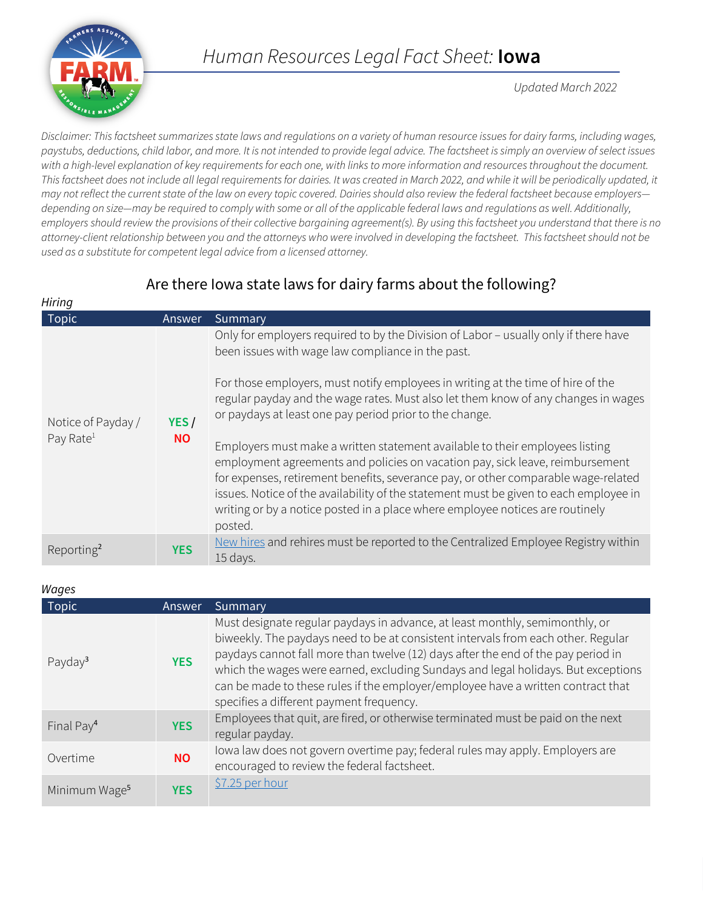

*Hiring*

*Updated March 2022*

*Disclaimer: This factsheet summarizes state laws and regulations on a variety of human resource issues for dairy farms, including wages, paystubs, deductions, child labor, and more. It is not intended to provide legal advice. The factsheet is simply an overview of select issues with a high-level explanation of key requirements for each one, with links to more information and resources throughout the document.*  This factsheet does not include all legal requirements for dairies. It was created in March 2022, and while it will be periodically updated, it *may not reflect the current state of the law on every topic covered. Dairies should also review the federal factsheet because employers depending on size—may be required to comply with some or all of the applicable federal laws and regulations as well. Additionally, employers should review the provisions of their collective bargaining agreement(s). By using this factsheet you understand that there is no attorney-client relationship between you and the attorneys who were involved in developing the factsheet. This factsheet should not be used as a substitute for competent legal advice from a licensed attorney.*

# Are there Iowa state laws for dairy farms about the following?

| ,,,,,,,,                                    |                   |                                                                                                                                                                                                                                                                                                                                                                                                                                                                                                                                                                                                                                                                                                                                                                                                                            |  |
|---------------------------------------------|-------------------|----------------------------------------------------------------------------------------------------------------------------------------------------------------------------------------------------------------------------------------------------------------------------------------------------------------------------------------------------------------------------------------------------------------------------------------------------------------------------------------------------------------------------------------------------------------------------------------------------------------------------------------------------------------------------------------------------------------------------------------------------------------------------------------------------------------------------|--|
| <b>Topic</b>                                | Answer            | Summary                                                                                                                                                                                                                                                                                                                                                                                                                                                                                                                                                                                                                                                                                                                                                                                                                    |  |
| Notice of Payday /<br>Pay Rate <sup>1</sup> | YES/<br><b>NO</b> | Only for employers required to by the Division of Labor - usually only if there have<br>been issues with wage law compliance in the past.<br>For those employers, must notify employees in writing at the time of hire of the<br>regular payday and the wage rates. Must also let them know of any changes in wages<br>or paydays at least one pay period prior to the change.<br>Employers must make a written statement available to their employees listing<br>employment agreements and policies on vacation pay, sick leave, reimbursement<br>for expenses, retirement benefits, severance pay, or other comparable wage-related<br>issues. Notice of the availability of the statement must be given to each employee in<br>writing or by a notice posted in a place where employee notices are routinely<br>posted. |  |
| Reporting <sup>2</sup>                      | <b>YES</b>        | New hires and rehires must be reported to the Centralized Employee Registry within<br>15 days.                                                                                                                                                                                                                                                                                                                                                                                                                                                                                                                                                                                                                                                                                                                             |  |

| Wages                     |            |                                                                                                                                                                                                                                                                                                                                                                                                                                                                             |
|---------------------------|------------|-----------------------------------------------------------------------------------------------------------------------------------------------------------------------------------------------------------------------------------------------------------------------------------------------------------------------------------------------------------------------------------------------------------------------------------------------------------------------------|
| Topic                     | Answer     | <b>Summary</b>                                                                                                                                                                                                                                                                                                                                                                                                                                                              |
| Payday <sup>3</sup>       | <b>YES</b> | Must designate regular paydays in advance, at least monthly, semimonthly, or<br>biweekly. The paydays need to be at consistent intervals from each other. Regular<br>paydays cannot fall more than twelve (12) days after the end of the pay period in<br>which the wages were earned, excluding Sundays and legal holidays. But exceptions<br>can be made to these rules if the employer/employee have a written contract that<br>specifies a different payment frequency. |
| Final Pay <sup>4</sup>    | <b>YES</b> | Employees that quit, are fired, or otherwise terminated must be paid on the next<br>regular payday.                                                                                                                                                                                                                                                                                                                                                                         |
| Overtime                  | <b>NO</b>  | Iowa law does not govern overtime pay; federal rules may apply. Employers are<br>encouraged to review the federal factsheet.                                                                                                                                                                                                                                                                                                                                                |
| Minimum Wage <sup>5</sup> | <b>YES</b> | \$7.25 per hour                                                                                                                                                                                                                                                                                                                                                                                                                                                             |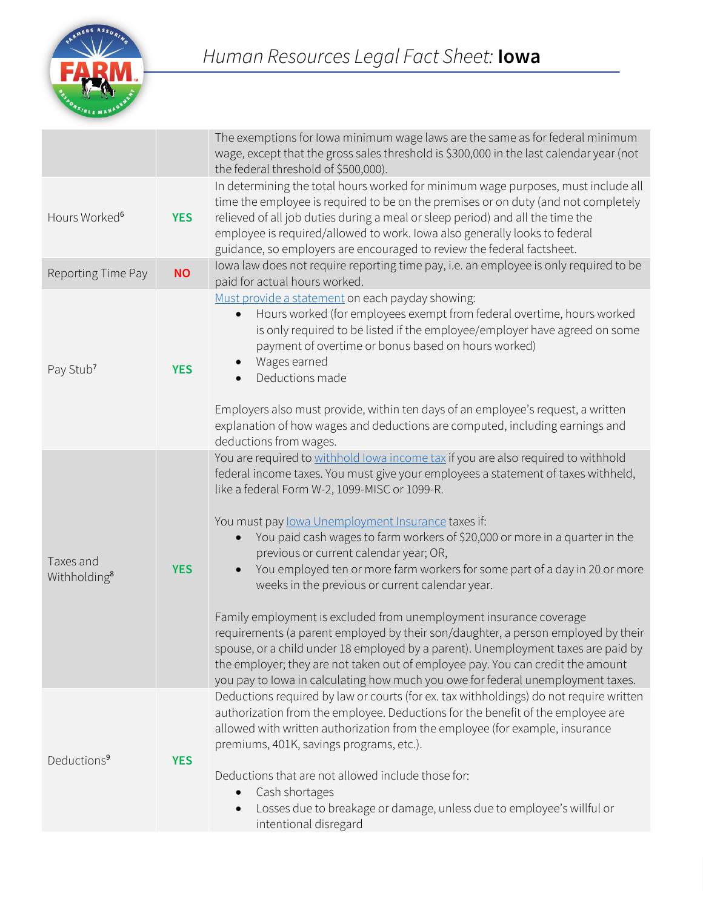

|                                       |            | The exemptions for lowa minimum wage laws are the same as for federal minimum<br>wage, except that the gross sales threshold is \$300,000 in the last calendar year (not<br>the federal threshold of \$500,000).                                                                                                                                                                                                                                                                                                                                                                                                                                                                                                                                                                                                                                                                                                                                                           |
|---------------------------------------|------------|----------------------------------------------------------------------------------------------------------------------------------------------------------------------------------------------------------------------------------------------------------------------------------------------------------------------------------------------------------------------------------------------------------------------------------------------------------------------------------------------------------------------------------------------------------------------------------------------------------------------------------------------------------------------------------------------------------------------------------------------------------------------------------------------------------------------------------------------------------------------------------------------------------------------------------------------------------------------------|
| Hours Worked <sup>6</sup>             | <b>YES</b> | In determining the total hours worked for minimum wage purposes, must include all<br>time the employee is required to be on the premises or on duty (and not completely<br>relieved of all job duties during a meal or sleep period) and all the time the<br>employee is required/allowed to work. Iowa also generally looks to federal<br>guidance, so employers are encouraged to review the federal factsheet.                                                                                                                                                                                                                                                                                                                                                                                                                                                                                                                                                          |
| Reporting Time Pay                    | <b>NO</b>  | lowa law does not require reporting time pay, i.e. an employee is only required to be<br>paid for actual hours worked.                                                                                                                                                                                                                                                                                                                                                                                                                                                                                                                                                                                                                                                                                                                                                                                                                                                     |
| Pay Stub <sup>7</sup>                 | <b>YES</b> | Must provide a statement on each payday showing:<br>Hours worked (for employees exempt from federal overtime, hours worked<br>$\bullet$<br>is only required to be listed if the employee/employer have agreed on some<br>payment of overtime or bonus based on hours worked)<br>Wages earned<br>Deductions made                                                                                                                                                                                                                                                                                                                                                                                                                                                                                                                                                                                                                                                            |
|                                       |            | Employers also must provide, within ten days of an employee's request, a written<br>explanation of how wages and deductions are computed, including earnings and<br>deductions from wages.                                                                                                                                                                                                                                                                                                                                                                                                                                                                                                                                                                                                                                                                                                                                                                                 |
| Taxes and<br>Withholding <sup>8</sup> | <b>YES</b> | You are required to withhold lowa income tax if you are also required to withhold<br>federal income taxes. You must give your employees a statement of taxes withheld,<br>like a federal Form W-2, 1099-MISC or 1099-R.<br>You must pay lowa Unemployment Insurance taxes if:<br>You paid cash wages to farm workers of \$20,000 or more in a quarter in the<br>$\bullet$<br>previous or current calendar year; OR,<br>You employed ten or more farm workers for some part of a day in 20 or more<br>weeks in the previous or current calendar year.<br>Family employment is excluded from unemployment insurance coverage<br>requirements (a parent employed by their son/daughter, a person employed by their<br>spouse, or a child under 18 employed by a parent). Unemployment taxes are paid by<br>the employer; they are not taken out of employee pay. You can credit the amount<br>you pay to lowa in calculating how much you owe for federal unemployment taxes. |
| Deductions <sup>9</sup>               | <b>YES</b> | Deductions required by law or courts (for ex. tax withholdings) do not require written<br>authorization from the employee. Deductions for the benefit of the employee are<br>allowed with written authorization from the employee (for example, insurance<br>premiums, 401K, savings programs, etc.).<br>Deductions that are not allowed include those for:<br>Cash shortages<br>$\bullet$<br>Losses due to breakage or damage, unless due to employee's willful or<br>$\bullet$<br>intentional disregard                                                                                                                                                                                                                                                                                                                                                                                                                                                                  |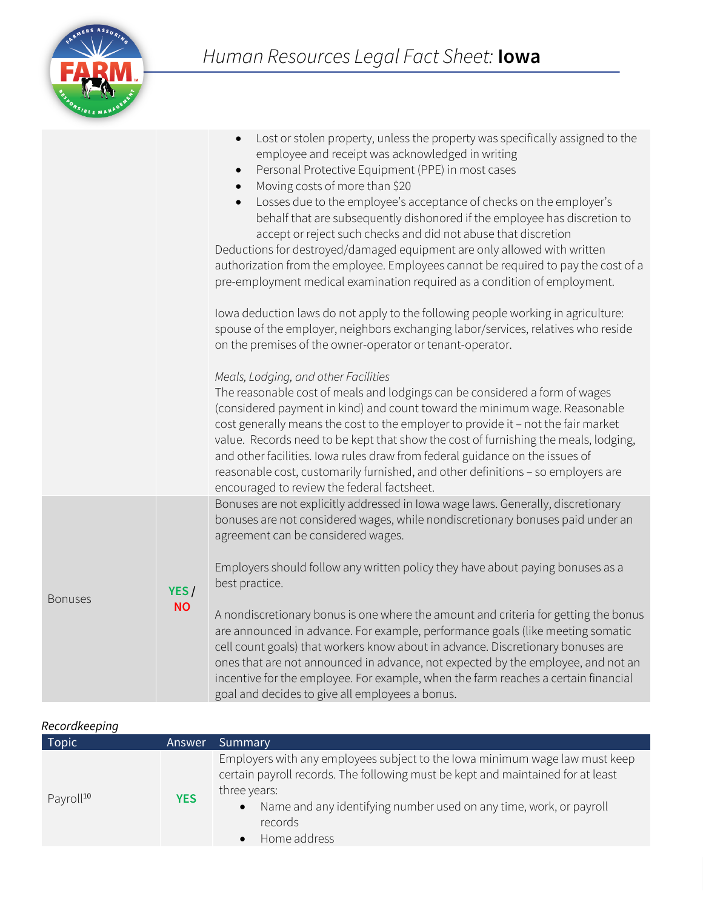

|                |           | Lost or stolen property, unless the property was specifically assigned to the<br>employee and receipt was acknowledged in writing<br>Personal Protective Equipment (PPE) in most cases<br>$\bullet$<br>Moving costs of more than \$20<br>Losses due to the employee's acceptance of checks on the employer's<br>$\bullet$<br>behalf that are subsequently dishonored if the employee has discretion to<br>accept or reject such checks and did not abuse that discretion<br>Deductions for destroyed/damaged equipment are only allowed with written<br>authorization from the employee. Employees cannot be required to pay the cost of a<br>pre-employment medical examination required as a condition of employment.<br>Iowa deduction laws do not apply to the following people working in agriculture:<br>spouse of the employer, neighbors exchanging labor/services, relatives who reside<br>on the premises of the owner-operator or tenant-operator.<br>Meals, Lodging, and other Facilities<br>The reasonable cost of meals and lodgings can be considered a form of wages<br>(considered payment in kind) and count toward the minimum wage. Reasonable<br>cost generally means the cost to the employer to provide it - not the fair market<br>value. Records need to be kept that show the cost of furnishing the meals, lodging,<br>and other facilities. Iowa rules draw from federal guidance on the issues of<br>reasonable cost, customarily furnished, and other definitions - so employers are<br>encouraged to review the federal factsheet. |
|----------------|-----------|-------------------------------------------------------------------------------------------------------------------------------------------------------------------------------------------------------------------------------------------------------------------------------------------------------------------------------------------------------------------------------------------------------------------------------------------------------------------------------------------------------------------------------------------------------------------------------------------------------------------------------------------------------------------------------------------------------------------------------------------------------------------------------------------------------------------------------------------------------------------------------------------------------------------------------------------------------------------------------------------------------------------------------------------------------------------------------------------------------------------------------------------------------------------------------------------------------------------------------------------------------------------------------------------------------------------------------------------------------------------------------------------------------------------------------------------------------------------------------------------------------------------------------------------------------------------|
|                |           | Bonuses are not explicitly addressed in Iowa wage laws. Generally, discretionary<br>bonuses are not considered wages, while nondiscretionary bonuses paid under an<br>agreement can be considered wages.                                                                                                                                                                                                                                                                                                                                                                                                                                                                                                                                                                                                                                                                                                                                                                                                                                                                                                                                                                                                                                                                                                                                                                                                                                                                                                                                                          |
| <b>Bonuses</b> | YES/      | Employers should follow any written policy they have about paying bonuses as a<br>best practice.                                                                                                                                                                                                                                                                                                                                                                                                                                                                                                                                                                                                                                                                                                                                                                                                                                                                                                                                                                                                                                                                                                                                                                                                                                                                                                                                                                                                                                                                  |
|                | <b>NO</b> | A nondiscretionary bonus is one where the amount and criteria for getting the bonus<br>are announced in advance. For example, performance goals (like meeting somatic<br>cell count goals) that workers know about in advance. Discretionary bonuses are<br>ones that are not announced in advance, not expected by the employee, and not an<br>incentive for the employee. For example, when the farm reaches a certain financial<br>goal and decides to give all employees a bonus.                                                                                                                                                                                                                                                                                                                                                                                                                                                                                                                                                                                                                                                                                                                                                                                                                                                                                                                                                                                                                                                                             |

#### *Recordkeeping*

| <b>Topic</b>          | Answer     | Summary                                                                                                                                                                                                                                                                                      |
|-----------------------|------------|----------------------------------------------------------------------------------------------------------------------------------------------------------------------------------------------------------------------------------------------------------------------------------------------|
| Payroll <sup>10</sup> | <b>YES</b> | Employers with any employees subject to the Iowa minimum wage law must keep<br>certain payroll records. The following must be kept and maintained for at least<br>three years:<br>Name and any identifying number used on any time, work, or payroll<br>$\bullet$<br>records<br>Home address |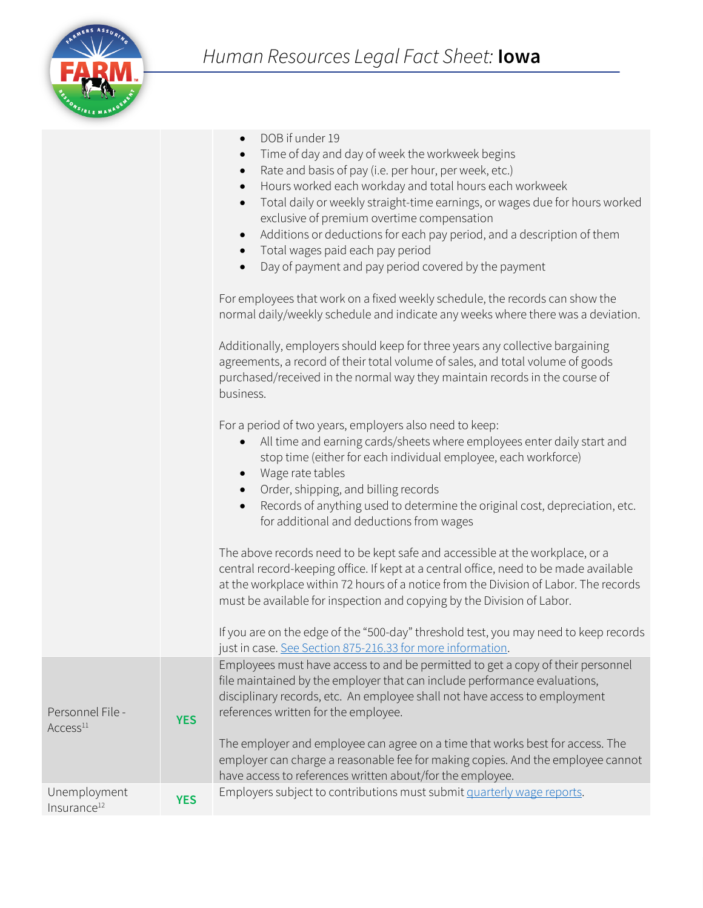

- DOB if under 19
- Time of day and day of week the workweek begins
- Rate and basis of pay (i.e. per hour, per week, etc.)
- Hours worked each workday and total hours each workweek
- Total daily or weekly straight-time earnings, or wages due for hours worked exclusive of premium overtime compensation
- Additions or deductions for each pay period, and a description of them
- Total wages paid each pay period
- Day of payment and pay period covered by the payment

For employees that work on a fixed weekly schedule, the records can show the normal daily/weekly schedule and indicate any weeks where there was a deviation.

Additionally, employers should keep for three years any collective bargaining agreements, a record of their total volume of sales, and total volume of goods purchased/received in the normal way they maintain records in the course of business.

For a period of two years, employers also need to keep:

- All time and earning cards/sheets where employees enter daily start and stop time (either for each individual employee, each workforce)
- Wage rate tables
- Order, shipping, and billing records
- Records of anything used to determine the original cost, depreciation, etc. for additional and deductions from wages

The above records need to be kept safe and accessible at the workplace, or a central record-keeping office. If kept at a central office, need to be made available at the workplace within 72 hours of a notice from the Division of Labor. The records must be available for inspection and copying by the Division of Labor.

|                                          |            | If you are on the edge of the "500-day" threshold test, you may need to keep records<br>just in case. See Section 875-216.33 for more information.                                                                                                                                 |
|------------------------------------------|------------|------------------------------------------------------------------------------------------------------------------------------------------------------------------------------------------------------------------------------------------------------------------------------------|
| Personnel File -<br>Access <sup>11</sup> | <b>YES</b> | Employees must have access to and be permitted to get a copy of their personnel<br>file maintained by the employer that can include performance evaluations,<br>disciplinary records, etc. An employee shall not have access to employment<br>references written for the employee. |
|                                          |            | The employer and employee can agree on a time that works best for access. The<br>employer can charge a reasonable fee for making copies. And the employee cannot<br>have access to references written about/for the employee.                                                      |
| Unemployment<br>Insurance <sup>12</sup>  | <b>YES</b> | Employers subject to contributions must submit quarterly wage reports.                                                                                                                                                                                                             |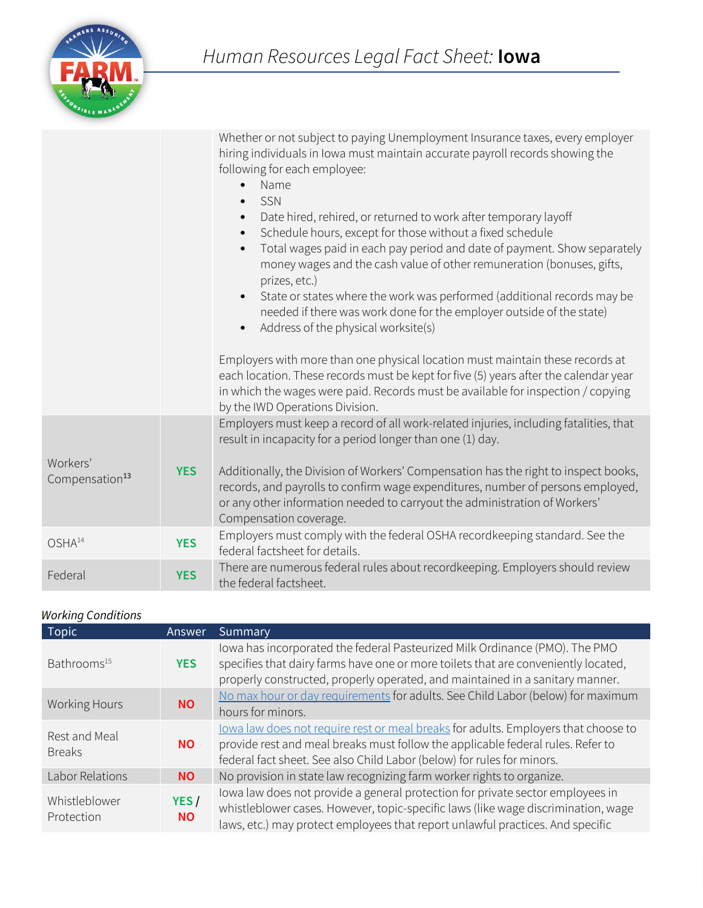

|                                        |            | Whether or not subject to paying Unemployment Insurance taxes, every employer<br>hiring individuals in Iowa must maintain accurate payroll records showing the<br>following for each employee:<br>Name<br>$\bullet$<br>SSN<br>Date hired, rehired, or returned to work after temporary layoff<br>$\bullet$<br>Schedule hours, except for those without a fixed schedule<br>Total wages paid in each pay period and date of payment. Show separately<br>money wages and the cash value of other remuneration (bonuses, gifts,<br>prizes, etc.)<br>State or states where the work was performed (additional records may be<br>$\bullet$<br>needed if there was work done for the employer outside of the state)<br>Address of the physical worksite(s)<br>$\bullet$<br>Employers with more than one physical location must maintain these records at<br>each location. These records must be kept for five (5) years after the calendar year<br>in which the wages were paid. Records must be available for inspection / copying<br>by the IWD Operations Division. |
|----------------------------------------|------------|-------------------------------------------------------------------------------------------------------------------------------------------------------------------------------------------------------------------------------------------------------------------------------------------------------------------------------------------------------------------------------------------------------------------------------------------------------------------------------------------------------------------------------------------------------------------------------------------------------------------------------------------------------------------------------------------------------------------------------------------------------------------------------------------------------------------------------------------------------------------------------------------------------------------------------------------------------------------------------------------------------------------------------------------------------------------|
| Workers'<br>Compensation <sup>13</sup> | <b>YES</b> | Employers must keep a record of all work-related injuries, including fatalities, that<br>result in incapacity for a period longer than one (1) day.<br>Additionally, the Division of Workers' Compensation has the right to inspect books,<br>records, and payrolls to confirm wage expenditures, number of persons employed,<br>or any other information needed to carryout the administration of Workers'<br>Compensation coverage.                                                                                                                                                                                                                                                                                                                                                                                                                                                                                                                                                                                                                             |
| OSHA <sup>14</sup>                     | <b>YES</b> | Employers must comply with the federal OSHA recordkeeping standard. See the<br>federal factsheet for details.                                                                                                                                                                                                                                                                                                                                                                                                                                                                                                                                                                                                                                                                                                                                                                                                                                                                                                                                                     |
| Federal                                | <b>YES</b> | There are numerous federal rules about recordkeeping. Employers should review<br>the federal factsheet.                                                                                                                                                                                                                                                                                                                                                                                                                                                                                                                                                                                                                                                                                                                                                                                                                                                                                                                                                           |

### *Working Conditions*

| <b>Topic</b>                   | <b>Answer</b>     | Summary                                                                                                                                                                                                                                               |
|--------------------------------|-------------------|-------------------------------------------------------------------------------------------------------------------------------------------------------------------------------------------------------------------------------------------------------|
| Bathrooms <sup>15</sup>        | <b>YES</b>        | lowa has incorporated the federal Pasteurized Milk Ordinance (PMO). The PMO<br>specifies that dairy farms have one or more toilets that are conveniently located,<br>properly constructed, properly operated, and maintained in a sanitary manner.    |
| <b>Working Hours</b>           | <b>NO</b>         | No max hour or day requirements for adults. See Child Labor (below) for maximum<br>hours for minors.                                                                                                                                                  |
| Rest and Meal<br><b>Breaks</b> | <b>NO</b>         | lowa law does not require rest or meal breaks for adults. Employers that choose to<br>provide rest and meal breaks must follow the applicable federal rules. Refer to<br>federal fact sheet. See also Child Labor (below) for rules for minors.       |
| Labor Relations                | <b>NO</b>         | No provision in state law recognizing farm worker rights to organize.                                                                                                                                                                                 |
| Whistleblower<br>Protection    | YES/<br><b>NO</b> | lowa law does not provide a general protection for private sector employees in<br>whistleblower cases. However, topic-specific laws (like wage discrimination, wage<br>laws, etc.) may protect employees that report unlawful practices. And specific |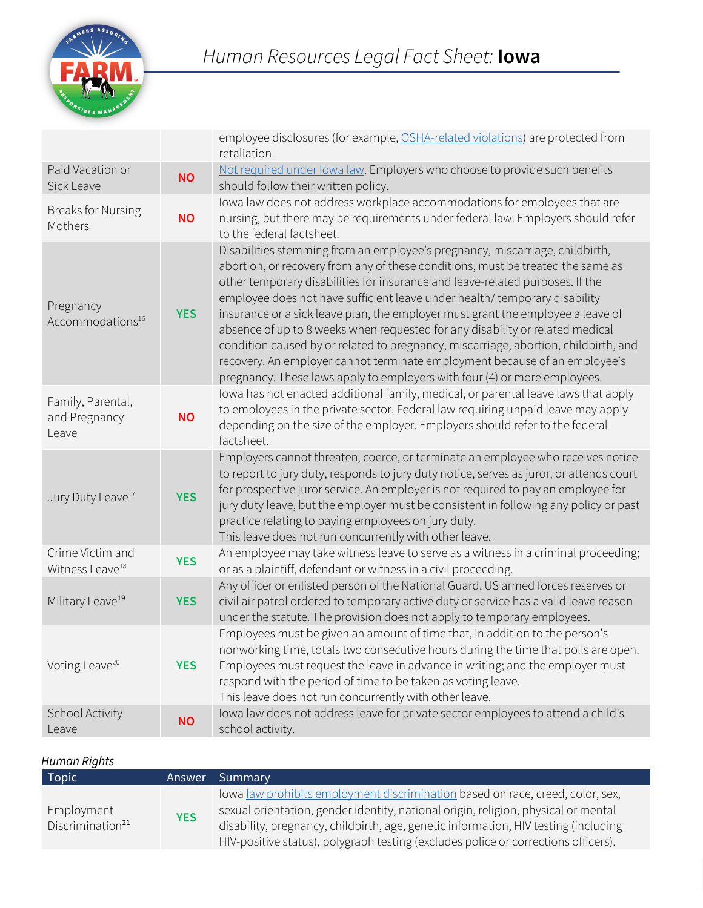

|                                                 |            | employee disclosures (for example, OSHA-related violations) are protected from<br>retaliation.                                                                                                                                                                                                                                                                                                                                                                                                                                                                                                                                                                                                                                                       |
|-------------------------------------------------|------------|------------------------------------------------------------------------------------------------------------------------------------------------------------------------------------------------------------------------------------------------------------------------------------------------------------------------------------------------------------------------------------------------------------------------------------------------------------------------------------------------------------------------------------------------------------------------------------------------------------------------------------------------------------------------------------------------------------------------------------------------------|
| Paid Vacation or<br>Sick Leave                  | <b>NO</b>  | Not required under lowa law. Employers who choose to provide such benefits<br>should follow their written policy.                                                                                                                                                                                                                                                                                                                                                                                                                                                                                                                                                                                                                                    |
| <b>Breaks for Nursing</b><br>Mothers            | <b>NO</b>  | lowa law does not address workplace accommodations for employees that are<br>nursing, but there may be requirements under federal law. Employers should refer<br>to the federal factsheet.                                                                                                                                                                                                                                                                                                                                                                                                                                                                                                                                                           |
| Pregnancy<br>Accommodations <sup>16</sup>       | <b>YES</b> | Disabilities stemming from an employee's pregnancy, miscarriage, childbirth,<br>abortion, or recovery from any of these conditions, must be treated the same as<br>other temporary disabilities for insurance and leave-related purposes. If the<br>employee does not have sufficient leave under health/ temporary disability<br>insurance or a sick leave plan, the employer must grant the employee a leave of<br>absence of up to 8 weeks when requested for any disability or related medical<br>condition caused by or related to pregnancy, miscarriage, abortion, childbirth, and<br>recovery. An employer cannot terminate employment because of an employee's<br>pregnancy. These laws apply to employers with four (4) or more employees. |
| Family, Parental,<br>and Pregnancy<br>Leave     | <b>NO</b>  | lowa has not enacted additional family, medical, or parental leave laws that apply<br>to employees in the private sector. Federal law requiring unpaid leave may apply<br>depending on the size of the employer. Employers should refer to the federal<br>factsheet.                                                                                                                                                                                                                                                                                                                                                                                                                                                                                 |
| Jury Duty Leave <sup>17</sup>                   | <b>YES</b> | Employers cannot threaten, coerce, or terminate an employee who receives notice<br>to report to jury duty, responds to jury duty notice, serves as juror, or attends court<br>for prospective juror service. An employer is not required to pay an employee for<br>jury duty leave, but the employer must be consistent in following any policy or past<br>practice relating to paying employees on jury duty.<br>This leave does not run concurrently with other leave.                                                                                                                                                                                                                                                                             |
| Crime Victim and<br>Witness Leave <sup>18</sup> | <b>YES</b> | An employee may take witness leave to serve as a witness in a criminal proceeding;<br>or as a plaintiff, defendant or witness in a civil proceeding.                                                                                                                                                                                                                                                                                                                                                                                                                                                                                                                                                                                                 |
| Military Leave <sup>19</sup>                    | <b>YES</b> | Any officer or enlisted person of the National Guard, US armed forces reserves or<br>civil air patrol ordered to temporary active duty or service has a valid leave reason<br>under the statute. The provision does not apply to temporary employees.                                                                                                                                                                                                                                                                                                                                                                                                                                                                                                |
| Voting Leave <sup>20</sup>                      | <b>YES</b> | Employees must be given an amount of time that, in addition to the person's<br>nonworking time, totals two consecutive hours during the time that polls are open.<br>Employees must request the leave in advance in writing; and the employer must<br>respond with the period of time to be taken as voting leave.<br>This leave does not run concurrently with other leave.                                                                                                                                                                                                                                                                                                                                                                         |
| School Activity<br>Leave                        | <b>NO</b>  | lowa law does not address leave for private sector employees to attend a child's<br>school activity.                                                                                                                                                                                                                                                                                                                                                                                                                                                                                                                                                                                                                                                 |

### *Human Rights*

| <b>Topic</b>                               | Answer     | Summary                                                                                                                                                                                                                                                                                                                                           |
|--------------------------------------------|------------|---------------------------------------------------------------------------------------------------------------------------------------------------------------------------------------------------------------------------------------------------------------------------------------------------------------------------------------------------|
| Employment<br>Discrimination <sup>21</sup> | <b>YES</b> | lowa law prohibits employment discrimination based on race, creed, color, sex,<br>sexual orientation, gender identity, national origin, religion, physical or mental<br>disability, pregnancy, childbirth, age, genetic information, HIV testing (including<br>HIV-positive status), polygraph testing (excludes police or corrections officers). |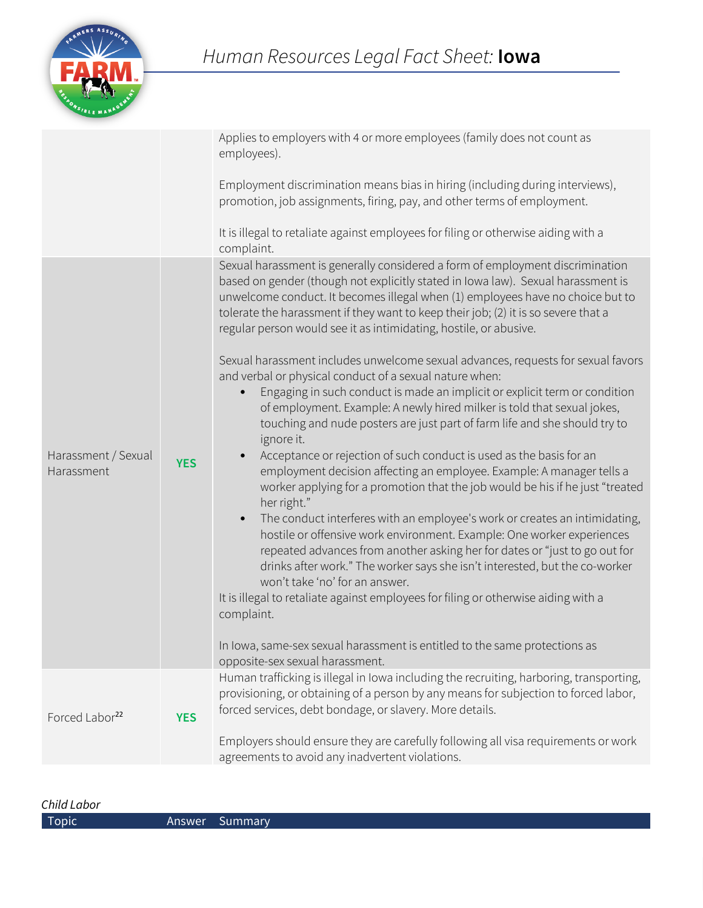

|                                   |            | Applies to employers with 4 or more employees (family does not count as<br>employees).                                                                                                                                                                                                                                                                                                                         |
|-----------------------------------|------------|----------------------------------------------------------------------------------------------------------------------------------------------------------------------------------------------------------------------------------------------------------------------------------------------------------------------------------------------------------------------------------------------------------------|
|                                   |            | Employment discrimination means bias in hiring (including during interviews),<br>promotion, job assignments, firing, pay, and other terms of employment.                                                                                                                                                                                                                                                       |
|                                   |            | It is illegal to retaliate against employees for filing or otherwise aiding with a<br>complaint.                                                                                                                                                                                                                                                                                                               |
|                                   |            | Sexual harassment is generally considered a form of employment discrimination<br>based on gender (though not explicitly stated in Iowa law). Sexual harassment is<br>unwelcome conduct. It becomes illegal when (1) employees have no choice but to<br>tolerate the harassment if they want to keep their job; (2) it is so severe that a<br>regular person would see it as intimidating, hostile, or abusive. |
| Harassment / Sexual<br>Harassment | <b>YES</b> | Sexual harassment includes unwelcome sexual advances, requests for sexual favors<br>and verbal or physical conduct of a sexual nature when:                                                                                                                                                                                                                                                                    |
|                                   |            | Engaging in such conduct is made an implicit or explicit term or condition<br>$\bullet$<br>of employment. Example: A newly hired milker is told that sexual jokes,<br>touching and nude posters are just part of farm life and she should try to<br>ignore it.                                                                                                                                                 |
|                                   |            | Acceptance or rejection of such conduct is used as the basis for an<br>employment decision affecting an employee. Example: A manager tells a<br>worker applying for a promotion that the job would be his if he just "treated<br>her right."                                                                                                                                                                   |
|                                   |            | The conduct interferes with an employee's work or creates an intimidating,<br>$\bullet$<br>hostile or offensive work environment. Example: One worker experiences<br>repeated advances from another asking her for dates or "just to go out for<br>drinks after work." The worker says she isn't interested, but the co-worker<br>won't take 'no' for an answer.                                               |
|                                   |            | It is illegal to retaliate against employees for filing or otherwise aiding with a<br>complaint.                                                                                                                                                                                                                                                                                                               |
|                                   |            | In Iowa, same-sex sexual harassment is entitled to the same protections as<br>opposite-sex sexual harassment.                                                                                                                                                                                                                                                                                                  |
| Forced Labor <sup>22</sup>        | <b>YES</b> | Human trafficking is illegal in Iowa including the recruiting, harboring, transporting,<br>provisioning, or obtaining of a person by any means for subjection to forced labor,<br>forced services, debt bondage, or slavery. More details.                                                                                                                                                                     |
|                                   |            | Employers should ensure they are carefully following all visa requirements or work<br>agreements to avoid any inadvertent violations.                                                                                                                                                                                                                                                                          |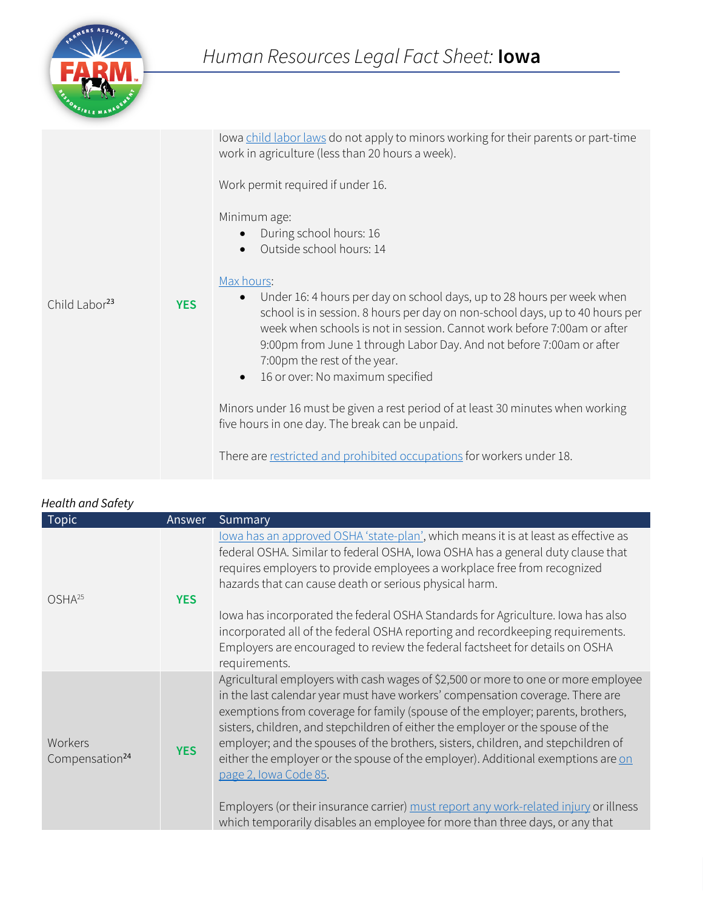

|                           |            | lowa child labor laws do not apply to minors working for their parents or part-time<br>work in agriculture (less than 20 hours a week).<br>Work permit required if under 16.                                                                                                                                                                                                                                          |
|---------------------------|------------|-----------------------------------------------------------------------------------------------------------------------------------------------------------------------------------------------------------------------------------------------------------------------------------------------------------------------------------------------------------------------------------------------------------------------|
|                           |            | Minimum age:<br>During school hours: 16<br>$\bullet$<br>Outside school hours: 14<br>$\bullet$                                                                                                                                                                                                                                                                                                                         |
| Child Labor <sup>23</sup> | <b>YES</b> | Max hours:<br>Under 16: 4 hours per day on school days, up to 28 hours per week when<br>$\bullet$<br>school is in session. 8 hours per day on non-school days, up to 40 hours per<br>week when schools is not in session. Cannot work before 7:00am or after<br>9:00pm from June 1 through Labor Day. And not before 7:00am or after<br>7:00pm the rest of the year.<br>16 or over: No maximum specified<br>$\bullet$ |
|                           |            | Minors under 16 must be given a rest period of at least 30 minutes when working<br>five hours in one day. The break can be unpaid.                                                                                                                                                                                                                                                                                    |
|                           |            | There are restricted and prohibited occupations for workers under 18.                                                                                                                                                                                                                                                                                                                                                 |

| <u>icului uilu Juicty</u><br><b>Topic</b> | Answer     | Summary                                                                                                                                                                                                                                                                                                                                                                                                                                                                                                                                    |
|-------------------------------------------|------------|--------------------------------------------------------------------------------------------------------------------------------------------------------------------------------------------------------------------------------------------------------------------------------------------------------------------------------------------------------------------------------------------------------------------------------------------------------------------------------------------------------------------------------------------|
| $OSHA^{25}$                               | <b>YES</b> | lowa has an approved OSHA 'state-plan', which means it is at least as effective as<br>federal OSHA. Similar to federal OSHA, Iowa OSHA has a general duty clause that<br>requires employers to provide employees a workplace free from recognized<br>hazards that can cause death or serious physical harm.                                                                                                                                                                                                                                |
|                                           |            | Iowa has incorporated the federal OSHA Standards for Agriculture. Iowa has also<br>incorporated all of the federal OSHA reporting and recordkeeping requirements.<br>Employers are encouraged to review the federal factsheet for details on OSHA<br>requirements.                                                                                                                                                                                                                                                                         |
| Workers<br>Compensation <sup>24</sup>     | <b>YES</b> | Agricultural employers with cash wages of \$2,500 or more to one or more employee<br>in the last calendar year must have workers' compensation coverage. There are<br>exemptions from coverage for family (spouse of the employer; parents, brothers,<br>sisters, children, and stepchildren of either the employer or the spouse of the<br>employer; and the spouses of the brothers, sisters, children, and stepchildren of<br>either the employer or the spouse of the employer). Additional exemptions are on<br>page 2, Iowa Code 85. |
|                                           |            | Employers (or their insurance carrier) must report any work-related injury or illness<br>which temporarily disables an employee for more than three days, or any that                                                                                                                                                                                                                                                                                                                                                                      |

## *Health and Safety*